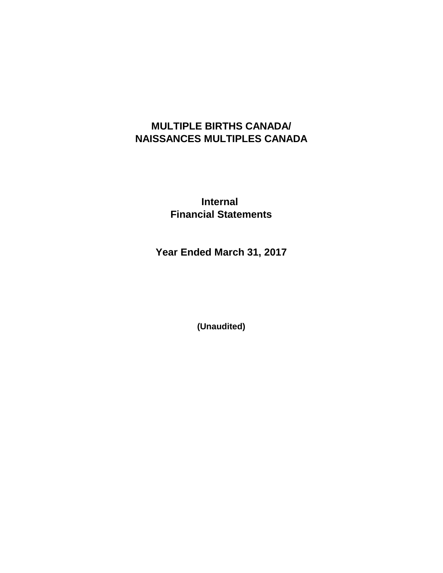# **MULTIPLE BIRTHS CANADA/ NAISSANCES MULTIPLES CANADA**

**Internal Financial Statements**

**Year Ended March 31, 2017**

**(Unaudited)**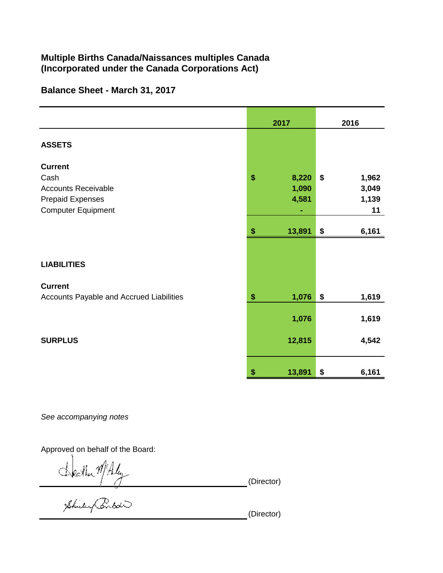### Multiple Births Canada/Naissances multiples Canada (Incorporated under the Canada Corporations Act)

### Balance Sheet - March 31, 2017

|                                                                                                              | 2017                          | 2016                                |  |
|--------------------------------------------------------------------------------------------------------------|-------------------------------|-------------------------------------|--|
| <b>ASSETS</b>                                                                                                |                               |                                     |  |
| <b>Current</b><br>Cash<br><b>Accounts Receivable</b><br><b>Prepaid Expenses</b><br><b>Computer Equipment</b> | \$<br>8,220<br>1,090<br>4,581 | \$<br>1,962<br>3,049<br>1,139<br>11 |  |
|                                                                                                              | \$<br>13,891                  | \$<br>6,161                         |  |
| <b>LIABILITIES</b>                                                                                           |                               |                                     |  |
| <b>Current</b><br>Accounts Payable and Accrued Liabilities                                                   | \$<br>1,076<br>1,076          | \$<br>1,619<br>1,619                |  |
| <b>SURPLUS</b>                                                                                               | 12,815                        | 4,542                               |  |
|                                                                                                              | 13,891<br>S                   | 6,161<br>\$                         |  |

See accompanying notes

Approved on behalf of the Board:

Statha MAly (Director)<br>Shirley Pental

(Director)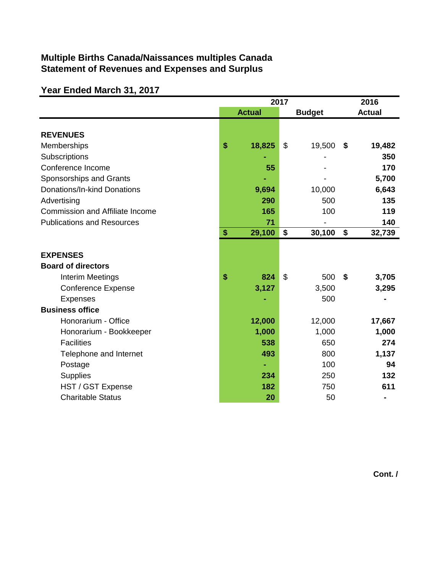## **Multiple Births Canada/Naissances multiples Canada Statement of Revenues and Expenses and Surplus**

## **Year Ended March 31, 2017**

|                                        | 2017 |               |                |               | 2016                      |               |
|----------------------------------------|------|---------------|----------------|---------------|---------------------------|---------------|
|                                        |      | <b>Actual</b> |                | <b>Budget</b> |                           | <b>Actual</b> |
|                                        |      |               |                |               |                           |               |
| <b>REVENUES</b>                        |      |               |                |               |                           |               |
| Memberships                            | \$   | 18,825        | \$             | 19,500        | \$                        | 19,482        |
| Subscriptions                          |      |               |                |               |                           | 350           |
| Conference Income                      |      | 55            |                |               |                           | 170           |
| Sponsorships and Grants                |      |               |                |               |                           | 5,700         |
| Donations/In-kind Donations            |      | 9,694         |                | 10,000        |                           | 6,643         |
| Advertising                            |      | 290           |                | 500           |                           | 135           |
| <b>Commission and Affiliate Income</b> |      | 165           |                | 100           |                           | 119           |
| <b>Publications and Resources</b>      |      | 71            |                |               |                           | 140           |
|                                        | \$   | 29,100        | \$             | 30,100        | $\boldsymbol{\mathsf{s}}$ | 32,739        |
|                                        |      |               |                |               |                           |               |
| <b>EXPENSES</b>                        |      |               |                |               |                           |               |
| <b>Board of directors</b>              |      |               |                |               |                           |               |
| Interim Meetings                       | \$   | 824           | $\mathfrak{S}$ | 500           | \$                        | 3,705         |
| <b>Conference Expense</b>              |      | 3,127         |                | 3,500         |                           | 3,295         |
| <b>Expenses</b>                        |      |               |                | 500           |                           |               |
| <b>Business office</b>                 |      |               |                |               |                           |               |
| Honorarium - Office                    |      | 12,000        |                | 12,000        |                           | 17,667        |
| Honorarium - Bookkeeper                |      | 1,000         |                | 1,000         |                           | 1,000         |
| <b>Facilities</b>                      |      | 538           |                | 650           |                           | 274           |
| Telephone and Internet                 |      | 493           |                | 800           |                           | 1,137         |
| Postage                                |      |               |                | 100           |                           | 94            |
| <b>Supplies</b>                        |      | 234           |                | 250           |                           | 132           |
| HST / GST Expense                      |      | 182           |                | 750           |                           | 611           |
| <b>Charitable Status</b>               |      | 20            |                | 50            |                           |               |

**Cont. /**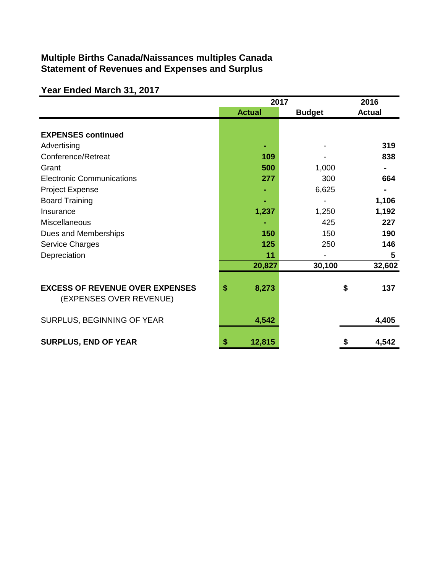## **Multiple Births Canada/Naissances multiples Canada Statement of Revenues and Expenses and Surplus**

# **Year Ended March 31, 2017**

|                                                                   | 2017          | 2016          |               |
|-------------------------------------------------------------------|---------------|---------------|---------------|
|                                                                   | <b>Actual</b> | <b>Budget</b> | <b>Actual</b> |
| <b>EXPENSES continued</b>                                         |               |               |               |
| Advertising                                                       |               |               | 319           |
| Conference/Retreat                                                | 109           |               | 838           |
| Grant                                                             | 500           | 1,000         |               |
| <b>Electronic Communications</b>                                  | 277           | 300           | 664           |
| Project Expense                                                   |               | 6,625         |               |
| <b>Board Training</b>                                             |               |               | 1,106         |
| Insurance                                                         | 1,237         | 1,250         | 1,192         |
| <b>Miscellaneous</b>                                              |               | 425           | 227           |
| Dues and Memberships                                              | 150           | 150           | 190           |
| <b>Service Charges</b>                                            | 125           | 250           | 146           |
| Depreciation                                                      | 11            |               | 5             |
|                                                                   | 20,827        | 30,100        | 32,602        |
| <b>EXCESS OF REVENUE OVER EXPENSES</b><br>(EXPENSES OVER REVENUE) | \$<br>8,273   |               | 137<br>\$     |
| SURPLUS, BEGINNING OF YEAR                                        | 4,542         |               | 4,405         |
| <b>SURPLUS, END OF YEAR</b>                                       | \$<br>12,815  |               | 4,542<br>5    |